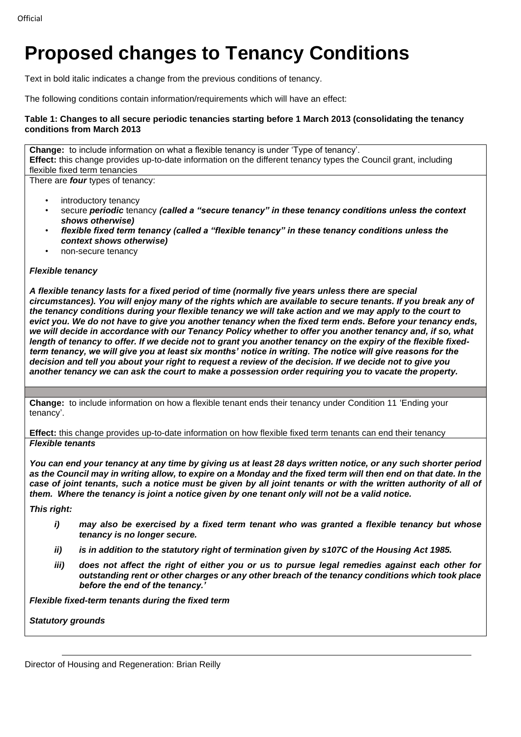# **Proposed changes to Tenancy Conditions**

Text in bold italic indicates a change from the previous conditions of tenancy.

The following conditions contain information/requirements which will have an effect:

## **Table 1: Changes to all secure periodic tenancies starting before 1 March 2013 (consolidating the tenancy conditions from March 2013**

**Change:** to include information on what a flexible tenancy is under 'Type of tenancy'. **Effect:** this change provides up-to-date information on the different tenancy types the Council grant, including flexible fixed term tenancies

There are *four* types of tenancy:

- introductory tenancy
- secure *periodic* tenancy *(called a "secure tenancy" in these tenancy conditions unless the context shows otherwise)*
- *flexible fixed term tenancy (called a "flexible tenancy" in these tenancy conditions unless the context shows otherwise)*
- non-secure tenancy

### *Flexible tenancy*

*A flexible tenancy lasts for a fixed period of time (normally five years unless there are special circumstances). You will enjoy many of the rights which are available to secure tenants. If you break any of the tenancy conditions during your flexible tenancy we will take action and we may apply to the court to evict you. We do not have to give you another tenancy when the fixed term ends. Before your tenancy ends, we will decide in accordance with our Tenancy Policy whether to offer you another tenancy and, if so, what length of tenancy to offer. If we decide not to grant you another tenancy on the expiry of the flexible fixedterm tenancy, we will give you at least six months' notice in writing. The notice will give reasons for the decision and tell you about your right to request a review of the decision. If we decide not to give you another tenancy we can ask the court to make a possession order requiring you to vacate the property.*

**Change:** to include information on how a flexible tenant ends their tenancy under Condition 11 'Ending your tenancy'.

**Effect:** this change provides up-to-date information on how flexible fixed term tenants can end their tenancy *Flexible tenants*

*You can end your tenancy at any time by giving us at least 28 days written notice, or any such shorter period*  as the Council may in writing allow, to expire on a Monday and the fixed term will then end on that date. In the *case of joint tenants, such a notice must be given by all joint tenants or with the written authority of all of them. Where the tenancy is joint a notice given by one tenant only will not be a valid notice.* 

*This right:*

- *i) may also be exercised by a fixed term tenant who was granted a flexible tenancy but whose tenancy is no longer secure.*
- *ii) is in addition to the statutory right of termination given by s107C of the Housing Act 1985.*
- *iii) does not affect the right of either you or us to pursue legal remedies against each other for outstanding rent or other charges or any other breach of the tenancy conditions which took place before the end of the tenancy.'*

*Flexible fixed-term tenants during the fixed term*

*Statutory grounds*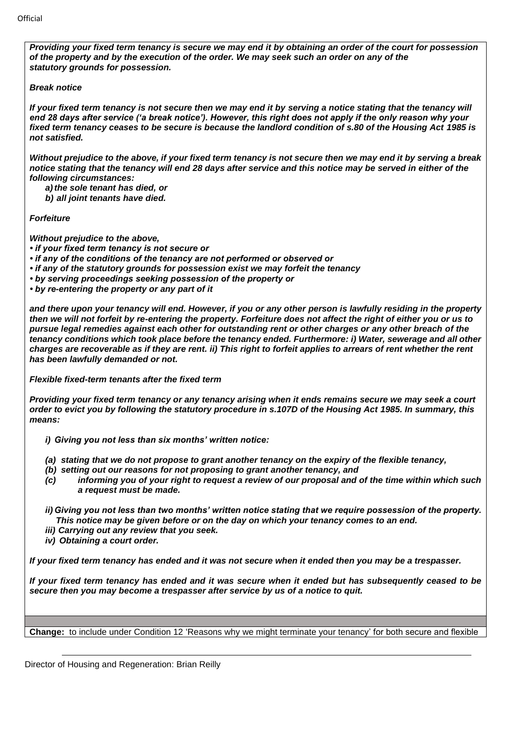*Providing your fixed term tenancy is secure we may end it by obtaining an order of the court for possession of the property and by the execution of the order. We may seek such an order on any of the statutory grounds for possession.*

#### *Break notice*

*If your fixed term tenancy is not secure then we may end it by serving a notice stating that the tenancy will end 28 days after service ('a break notice'). However, this right does not apply if the only reason why your fixed term tenancy ceases to be secure is because the landlord condition of s.80 of the Housing Act 1985 is not satisfied.*

*Without prejudice to the above, if your fixed term tenancy is not secure then we may end it by serving a break notice stating that the tenancy will end 28 days after service and this notice may be served in either of the following circumstances:*

*a)the sole tenant has died, or*

*b) all joint tenants have died.* 

*Forfeiture*

*Without prejudice to the above,*

*• if your fixed term tenancy is not secure or*

- *if any of the conditions of the tenancy are not performed or observed or*
- *if any of the statutory grounds for possession exist we may forfeit the tenancy*
- *by serving proceedings seeking possession of the property or*

*• by re-entering the property or any part of it*

*and there upon your tenancy will end. However, if you or any other person is lawfully residing in the property then we will not forfeit by re-entering the property. Forfeiture does not affect the right of either you or us to pursue legal remedies against each other for outstanding rent or other charges or any other breach of the tenancy conditions which took place before the tenancy ended. Furthermore: i) Water, sewerage and all other charges are recoverable as if they are rent. ii) This right to forfeit applies to arrears of rent whether the rent has been lawfully demanded or not.*

*Flexible fixed-term tenants after the fixed term*

*Providing your fixed term tenancy or any tenancy arising when it ends remains secure we may seek a court order to evict you by following the statutory procedure in s.107D of the Housing Act 1985. In summary, this means:*

*i) Giving you not less than six months' written notice:* 

- *(a) stating that we do not propose to grant another tenancy on the expiry of the flexible tenancy,*
- *(b) setting out our reasons for not proposing to grant another tenancy, and*
- *(c) informing you of your right to request a review of our proposal and of the time within which such a request must be made.*

*ii)Giving you not less than two months' written notice stating that we require possession of the property. This notice may be given before or on the day on which your tenancy comes to an end.*

- *iii) Carrying out any review that you seek.*
- *iv) Obtaining a court order.*

*If your fixed term tenancy has ended and it was not secure when it ended then you may be a trespasser.*

*If your fixed term tenancy has ended and it was secure when it ended but has subsequently ceased to be secure then you may become a trespasser after service by us of a notice to quit.*

**Change:** to include under Condition 12 'Reasons why we might terminate your tenancy' for both secure and flexible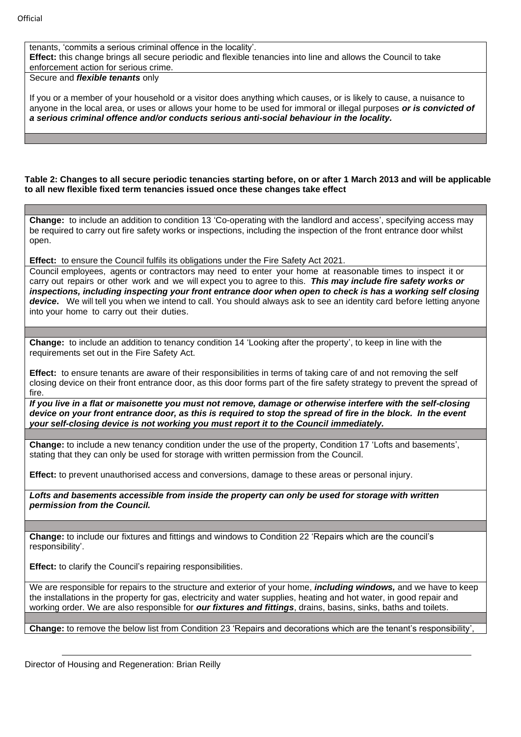tenants, 'commits a serious criminal offence in the locality'. **Effect:** this change brings all secure periodic and flexible tenancies into line and allows the Council to take enforcement action for serious crime.

Secure and *flexible tenants* only

If you or a member of your household or a visitor does anything which causes, or is likely to cause, a nuisance to anyone in the local area, or uses or allows your home to be used for immoral or illegal purposes *or is convicted of a serious criminal offence and/or conducts serious anti-social behaviour in the locality.*

**Table 2: Changes to all secure periodic tenancies starting before, on or after 1 March 2013 and will be applicable to all new flexible fixed term tenancies issued once these changes take effect**

**Change:** to include an addition to condition 13 'Co-operating with the landlord and access', specifying access may be required to carry out fire safety works or inspections, including the inspection of the front entrance door whilst open.

**Effect:** to ensure the Council fulfils its obligations under the Fire Safety Act 2021.

Council employees, agents or contractors may need to enter your home at reasonable times to inspect it or carry out repairs or other work and we will expect you to agree to this. *This may include fire safety works or*  inspections, including inspecting your front entrance door when open to check is has a working self closing *device***.** We will tell you when we intend to call. You should always ask to see an identity card before letting anyone into your home to carry out their duties.

**Change:** to include an addition to tenancy condition 14 'Looking after the property', to keep in line with the requirements set out in the Fire Safety Act.

**Effect:** to ensure tenants are aware of their responsibilities in terms of taking care of and not removing the self closing device on their front entrance door, as this door forms part of the fire safety strategy to prevent the spread of fire.

*If you live in a flat or maisonette you must not remove, damage or otherwise interfere with the self-closing device on your front entrance door, as this is required to stop the spread of fire in the block. In the event your self-closing device is not working you must report it to the Council immediately.*

**Change:** to include a new tenancy condition under the use of the property, Condition 17 'Lofts and basements', stating that they can only be used for storage with written permission from the Council.

**Effect:** to prevent unauthorised access and conversions, damage to these areas or personal injury.

*Lofts and basements accessible from inside the property can only be used for storage with written permission from the Council.*

**Change:** to include our fixtures and fittings and windows to Condition 22 'Repairs which are the council's responsibility'.

**Effect:** to clarify the Council's repairing responsibilities.

We are responsible for repairs to the structure and exterior of your home, *including windows,* and we have to keep the installations in the property for gas, electricity and water supplies, heating and hot water, in good repair and working order. We are also responsible for *our fixtures and fittings*, drains, basins, sinks, baths and toilets.

**Change:** to remove the below list from Condition 23 'Repairs and decorations which are the tenant's responsibility',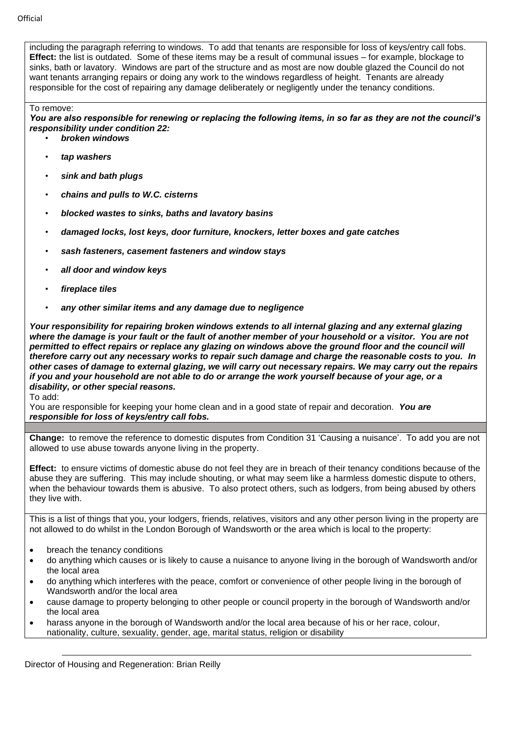including the paragraph referring to windows. To add that tenants are responsible for loss of keys/entry call fobs. **Effect:** the list is outdated. Some of these items may be a result of communal issues – for example, blockage to sinks, bath or lavatory. Windows are part of the structure and as most are now double glazed the Council do not want tenants arranging repairs or doing any work to the windows regardless of height. Tenants are already responsible for the cost of repairing any damage deliberately or negligently under the tenancy conditions.

#### To remove:

*You are also responsible for renewing or replacing the following items, in so far as they are not the council's responsibility under condition 22:*

- *broken windows*
- *tap washers*
- *sink and bath plugs*
- *chains and pulls to W.C. cisterns*
- *blocked wastes to sinks, baths and lavatory basins*
- *damaged locks, lost keys, door furniture, knockers, letter boxes and gate catches*
- *sash fasteners, casement fasteners and window stays*
- *all door and window keys*
- *fireplace tiles*
- *any other similar items and any damage due to negligence*

*Your responsibility for repairing broken windows extends to all internal glazing and any external glazing where the damage is your fault or the fault of another member of your household or a visitor. You are not permitted to effect repairs or replace any glazing on windows above the ground floor and the council will therefore carry out any necessary works to repair such damage and charge the reasonable costs to you. In other cases of damage to external glazing, we will carry out necessary repairs. We may carry out the repairs if you and your household are not able to do or arrange the work yourself because of your age, or a disability, or other special reasons.*

To add:

You are responsible for keeping your home clean and in a good state of repair and decoration. *You are responsible for loss of keys/entry call fobs.*

**Change:** to remove the reference to domestic disputes from Condition 31 'Causing a nuisance'. To add you are not allowed to use abuse towards anyone living in the property.

**Effect:** to ensure victims of domestic abuse do not feel they are in breach of their tenancy conditions because of the abuse they are suffering. This may include shouting, or what may seem like a harmless domestic dispute to others, when the behaviour towards them is abusive. To also protect others, such as lodgers, from being abused by others they live with.

This is a list of things that you, your lodgers, friends, relatives, visitors and any other person living in the property are not allowed to do whilst in the London Borough of Wandsworth or the area which is local to the property:

- breach the tenancy conditions
- do anything which causes or is likely to cause a nuisance to anyone living in the borough of Wandsworth and/or the local area
- do anything which interferes with the peace, comfort or convenience of other people living in the borough of Wandsworth and/or the local area
- cause damage to property belonging to other people or council property in the borough of Wandsworth and/or the local area
- harass anyone in the borough of Wandsworth and/or the local area because of his or her race, colour, nationality, culture, sexuality, gender, age, marital status, religion or disability

Director of Housing and Regeneration: Brian Reilly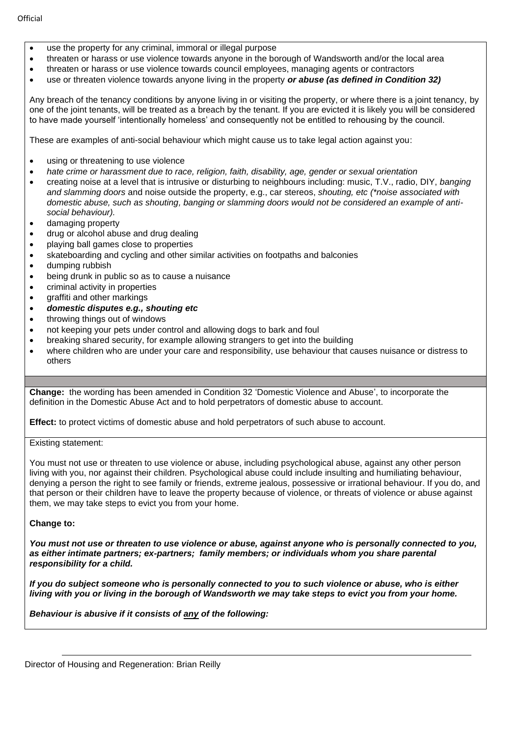- use the property for any criminal, immoral or illegal purpose
- threaten or harass or use violence towards anyone in the borough of Wandsworth and/or the local area
- threaten or harass or use violence towards council employees, managing agents or contractors
- use or threaten violence towards anyone living in the property *or abuse (as defined in Condition 32)*

Any breach of the tenancy conditions by anyone living in or visiting the property, or where there is a joint tenancy, by one of the joint tenants, will be treated as a breach by the tenant. If you are evicted it is likely you will be considered to have made yourself 'intentionally homeless' and consequently not be entitled to rehousing by the council.

These are examples of anti-social behaviour which might cause us to take legal action against you:

- using or threatening to use violence
- *hate crime or harassment due to race, religion, faith, disability, age, gender or sexual orientation*
- creating noise at a level that is intrusive or disturbing to neighbours including: music, T.V., radio, DIY, *banging and slamming doors* and noise outside the property, e.g., car stereos, *shouting, etc (\*noise associated with domestic abuse, such as shouting, banging or slamming doors would not be considered an example of antisocial behaviour).*
- damaging property
- drug or alcohol abuse and drug dealing
- playing ball games close to properties
- skateboarding and cycling and other similar activities on footpaths and balconies
- dumping rubbish
- being drunk in public so as to cause a nuisance
- criminal activity in properties
- graffiti and other markings
- *domestic disputes e.g., shouting etc*
- throwing things out of windows
- not keeping your pets under control and allowing dogs to bark and foul
- breaking shared security, for example allowing strangers to get into the building
- where children who are under your care and responsibility, use behaviour that causes nuisance or distress to others

**Change:** the wording has been amended in Condition 32 'Domestic Violence and Abuse', to incorporate the definition in the Domestic Abuse Act and to hold perpetrators of domestic abuse to account.

**Effect:** to protect victims of domestic abuse and hold perpetrators of such abuse to account.

Existing statement:

You must not use or threaten to use violence or abuse, including psychological abuse, against any other person living with you, nor against their children. Psychological abuse could include insulting and humiliating behaviour, denying a person the right to see family or friends, extreme jealous, possessive or irrational behaviour. If you do, and that person or their children have to leave the property because of violence, or threats of violence or abuse against them, we may take steps to evict you from your home.

#### **Change to:**

*You must not use or threaten to use violence or abuse, against anyone who is personally connected to you, as either intimate partners; ex-partners; family members; or individuals whom you share parental responsibility for a child.* 

*If you do subject someone who is personally connected to you to such violence or abuse, who is either living with you or living in the borough of Wandsworth we may take steps to evict you from your home.*

*Behaviour is abusive if it consists of any of the following:*